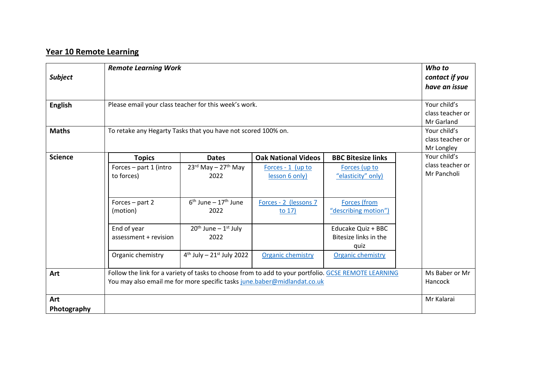## **Year 10 Remote Learning**

| <b>Subject</b>     | <b>Remote Learning Work</b>                                                                                                                                                      |                                                |                                     |                                                     | Who to<br>contact if you<br>have an issue |
|--------------------|----------------------------------------------------------------------------------------------------------------------------------------------------------------------------------|------------------------------------------------|-------------------------------------|-----------------------------------------------------|-------------------------------------------|
| <b>English</b>     | Please email your class teacher for this week's work.                                                                                                                            | Your child's<br>class teacher or<br>Mr Garland |                                     |                                                     |                                           |
| <b>Maths</b>       | To retake any Hegarty Tasks that you have not scored 100% on.                                                                                                                    | Your child's<br>class teacher or<br>Mr Longley |                                     |                                                     |                                           |
| <b>Science</b>     | <b>Topics</b>                                                                                                                                                                    | <b>Dates</b>                                   | <b>Oak National Videos</b>          | <b>BBC Bitesize links</b>                           | Your child's                              |
|                    | Forces - part 1 (intro<br>to forces)                                                                                                                                             | $23rd$ May - 27 <sup>th</sup> May<br>2022      | Forces - 1 (up to<br>lesson 6 only) | Forces (up to<br>"elasticity" only)                 | class teacher or<br>Mr Pancholi           |
|                    | Forces - part 2<br>(motion)                                                                                                                                                      | $6th$ June – 17 <sup>th</sup> June<br>2022     | Forces - 2 (lessons 7<br>to $17)$   | <b>Forces</b> (from<br>"describing motion")         |                                           |
|                    | End of year<br>assessment + revision                                                                                                                                             | $20th$ June – $1st$ July<br>2022               |                                     | Educake Quiz + BBC<br>Bitesize links in the<br>quiz |                                           |
|                    | Organic chemistry                                                                                                                                                                | $4^{th}$ July - $21^{st}$ July 2022            | <b>Organic chemistry</b>            | <b>Organic chemistry</b>                            |                                           |
| Art                | Follow the link for a variety of tasks to choose from to add to your portfolio. GCSE REMOTE LEARNING<br>You may also email me for more specific tasks june.baber@midlandat.co.uk | Ms Baber or Mr<br>Hancock                      |                                     |                                                     |                                           |
| Art<br>Photography |                                                                                                                                                                                  |                                                |                                     |                                                     | Mr Kalarai                                |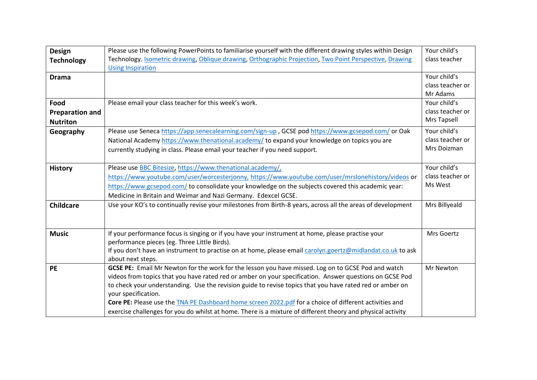| <b>Design</b><br><b>Technology</b> | Please use the following PowerPoints to familiarise yourself with the different drawing styles within Design<br>Technology. Isometric drawing, Oblique drawing, Orthographic Projection, Two Point Perspective, Drawing | Your child's<br>class teacher |
|------------------------------------|-------------------------------------------------------------------------------------------------------------------------------------------------------------------------------------------------------------------------|-------------------------------|
|                                    | <b>Using Inspiration</b>                                                                                                                                                                                                |                               |
| <b>Drama</b>                       |                                                                                                                                                                                                                         | Your child's                  |
|                                    |                                                                                                                                                                                                                         | class teacher or              |
|                                    |                                                                                                                                                                                                                         | Mr Adams                      |
| Food                               | Please email your class teacher for this week's work.                                                                                                                                                                   | Your child's                  |
| <b>Preparation and</b>             |                                                                                                                                                                                                                         | class teacher or              |
| <b>Nutriton</b>                    |                                                                                                                                                                                                                         | Mrs Tapsell                   |
| Geography                          | Please use Seneca https://app.senecalearning.com/sign-up, GCSE pod https://www.gcsepod.com/ or Oak                                                                                                                      | Your child's                  |
|                                    | National Academy https://www.thenational.academy/ to expand your knowledge on topics you are                                                                                                                            | class teacher or              |
|                                    | currently studying in class. Please email your teacher if you need support.                                                                                                                                             | Mrs Doizman                   |
|                                    |                                                                                                                                                                                                                         |                               |
| <b>History</b>                     | Please use <b>BBC</b> Bitesize, https://www.thenational.academy/,                                                                                                                                                       | Your child's                  |
|                                    | https://www.youtube.com/user/worcesterjonny, https://www.youtube.com/user/mrslonehistory/videos or                                                                                                                      | class teacher or              |
|                                    | https://www.gcsepod.com/ to consolidate your knowledge on the subjects covered this academic year:                                                                                                                      | Ms West                       |
|                                    | Medicine in Britain and Weimar and Nazi Germany. Edexcel GCSE.                                                                                                                                                          |                               |
| <b>Childcare</b>                   | Use your KO's to continually revise your milestones from Birth-8 years, across all the areas of development                                                                                                             | Mrs Billyeald                 |
|                                    |                                                                                                                                                                                                                         |                               |
|                                    |                                                                                                                                                                                                                         |                               |
| <b>Music</b>                       | If your performance focus is singing or if you have your instrument at home, please practise your                                                                                                                       | Mrs Goertz                    |
|                                    | performance pieces (eg. Three Little Birds).                                                                                                                                                                            |                               |
|                                    | If you don't have an instrument to practise on at home, please email carolyn.goertz@midlandat.co.uk to ask                                                                                                              |                               |
|                                    | about next steps.                                                                                                                                                                                                       |                               |
| <b>PE</b>                          | GCSE PE: Email Mr Newton for the work for the lesson you have missed. Log on to GCSE Pod and watch                                                                                                                      | Mr Newton                     |
|                                    | videos from topics that you have rated red or amber on your specification. Answer questions on GCSE Pod                                                                                                                 |                               |
|                                    | to check your understanding. Use the revision guide to revise topics that you have rated red or amber on                                                                                                                |                               |
|                                    | your specification.                                                                                                                                                                                                     |                               |
|                                    | Core PE: Please use the TNA PE Dashboard home screen 2022.pdf for a choice of different activities and                                                                                                                  |                               |
|                                    | exercise challenges for you do whilst at home. There is a mixture of different theory and physical activity                                                                                                             |                               |